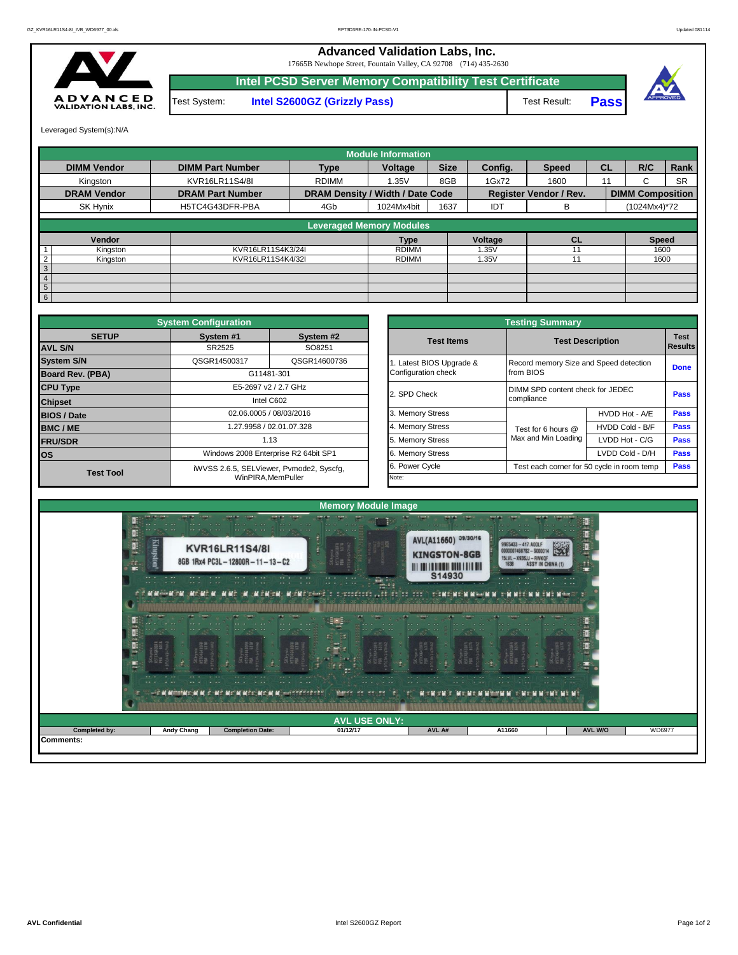## **Advanced Validation Labs, Inc.**

17665B Newhope Street, Fountain Valley, CA 92708 (714) 435-2630



**Intel PCSD Server Memory Compatibility Test Certificate** Test System: **Intel S2600GZ (Grizzly Pass)** Test Result: **Pass** 





Leveraged System(s):N/A

|                            |                         |                                  | <b>Module Information</b> |             |         |                               |           |                         |           |
|----------------------------|-------------------------|----------------------------------|---------------------------|-------------|---------|-------------------------------|-----------|-------------------------|-----------|
| <b>DIMM Vendor</b>         | <b>DIMM Part Number</b> | <b>Type</b>                      | Voltage                   | <b>Size</b> | Config. | <b>Speed</b>                  | <b>CL</b> | R/C                     | Rank      |
| Kingston                   | KVR16LR11S4/8I          | <b>RDIMM</b>                     | 1.35V                     | 8GB         | 1Gx72   | 1600                          | 11        | C                       | <b>SR</b> |
| <b>DRAM Vendor</b>         | <b>DRAM Part Number</b> | DRAM Density / Width / Date Code |                           |             |         | <b>Register Vendor / Rev.</b> |           | <b>DIMM Composition</b> |           |
| SK Hynix                   | H5TC4G43DFR-PBA         | 4Gb                              | 1024Mx4bit                | 1637        | IDT     | в                             |           | (1024Mx4)*72            |           |
|                            |                         | <b>Leveraged Memory Modules</b>  |                           |             |         |                               |           |                         |           |
| Vendor                     |                         |                                  | <b>Type</b>               |             | Voltage | <b>CL</b>                     |           | <b>Speed</b>            |           |
| Kingston                   | KVR16LR11S4K3/24I       |                                  | <b>RDIMM</b>              |             | 1.35V   | 11                            |           | 1600                    |           |
| $\overline{2}$<br>Kingston | KVR16LR11S4K4/32I       |                                  | <b>RDIMM</b>              |             | 1.35V   |                               |           | 1600                    |           |
| $\mathbf{3}$               |                         |                                  |                           |             |         |                               |           |                         |           |
| $\overline{4}$             |                         |                                  |                           |             |         |                               |           |                         |           |
| $5\phantom{.0}$            |                         |                                  |                           |             |         |                               |           |                         |           |
| 6                          |                         |                                  |                           |             |         |                               |           |                         |           |

|                                | <b>System Configuration</b> |                                          |                       | <b>Testing Summary</b>                 |                                            |                        |
|--------------------------------|-----------------------------|------------------------------------------|-----------------------|----------------------------------------|--------------------------------------------|------------------------|
| <b>SETUP</b><br><b>AVL S/N</b> | System #1<br>SR2525         | System #2<br>SO8251                      | <b>Test Items</b>     |                                        | <b>Test Description</b>                    | <b>Test</b><br>Results |
|                                |                             |                                          |                       |                                        |                                            |                        |
| <b>System S/N</b>              | QSGR14500317                | QSGR14600736                             | Latest BIOS Upgrade & | Record memory Size and Speed detection |                                            | <b>Done</b>            |
| <b>Board Rev. (PBA)</b>        |                             | G11481-301                               | Configuration check   | from BIOS                              |                                            |                        |
| <b>CPU Type</b>                |                             | E5-2697 v2 / 2.7 GHz                     | 2. SPD Check          | DIMM SPD content check for JEDEC       |                                            | Pass                   |
| <b>Chipset</b>                 |                             | Intel C602                               |                       | compliance                             |                                            |                        |
| <b>BIOS / Date</b>             |                             | 02.06.0005 / 08/03/2016                  | 3. Memory Stress      |                                        | HVDD Hot - A/E                             | <b>Pass</b>            |
| <b>BMC/ME</b>                  |                             | 1.27.9958 / 02.01.07.328                 | 4. Memory Stress      | Test for 6 hours @                     | HVDD Cold - B/F                            | <b>Pass</b>            |
| <b>FRU/SDR</b>                 |                             | 1.13                                     | 5. Memory Stress      | Max and Min Loading                    | LVDD Hot - C/G                             | <b>Pass</b>            |
| <b>los</b>                     |                             | Windows 2008 Enterprise R2 64bit SP1     | 6. Memory Stress      |                                        | LVDD Cold - D/H                            | Pass                   |
| <b>Test Tool</b>               |                             | iWVSS 2.6.5, SELViewer, Pvmode2, Syscfq, | 6. Power Cycle        |                                        | Test each corner for 50 cycle in room temp | <b>Pass</b>            |
|                                |                             | WinPIRA.MemPuller                        | Note:                 |                                        |                                            |                        |

|                                                 | <b>Testing Summary</b>                              |                                            |             |  |  |  |  |  |  |  |
|-------------------------------------------------|-----------------------------------------------------|--------------------------------------------|-------------|--|--|--|--|--|--|--|
| <b>Test Items</b>                               |                                                     | <b>Test Description</b>                    |             |  |  |  |  |  |  |  |
| 1. Latest BIOS Upgrade &<br>Configuration check | Record memory Size and Speed detection<br>from BIOS |                                            | <b>Done</b> |  |  |  |  |  |  |  |
| 2. SPD Check                                    | DIMM SPD content check for JEDEC                    | Pass                                       |             |  |  |  |  |  |  |  |
| 3. Memory Stress                                |                                                     | HVDD Hot - A/E                             | <b>Pass</b> |  |  |  |  |  |  |  |
| 4. Memory Stress                                | Test for 6 hours @                                  | HVDD Cold - B/F                            | <b>Pass</b> |  |  |  |  |  |  |  |
| 5. Memory Stress                                | Max and Min Loading                                 | LVDD Hot - C/G                             | <b>Pass</b> |  |  |  |  |  |  |  |
| 6. Memory Stress                                |                                                     | LVDD Cold - D/H                            | <b>Pass</b> |  |  |  |  |  |  |  |
| 6. Power Cycle                                  |                                                     | Test each corner for 50 cycle in room temp |             |  |  |  |  |  |  |  |
| Note:                                           |                                                     |                                            |             |  |  |  |  |  |  |  |